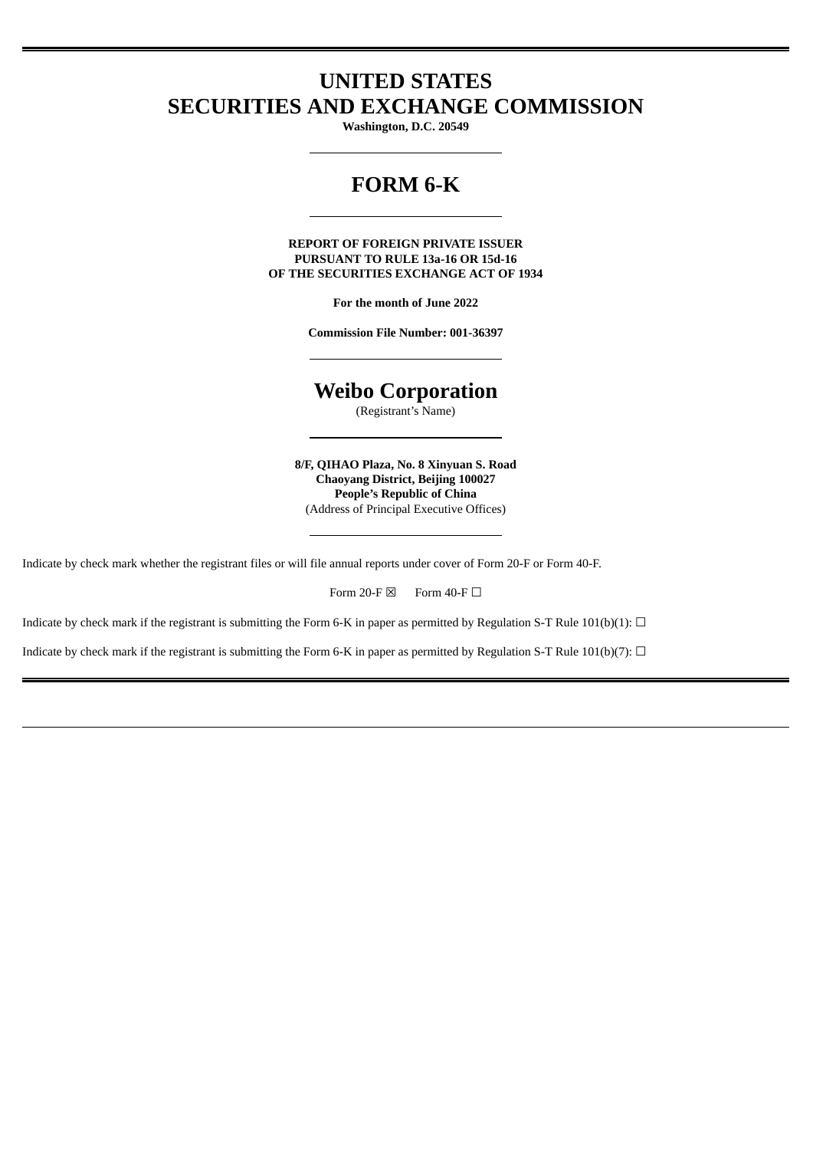# **UNITED STATES SECURITIES AND EXCHANGE COMMISSION**

**Washington, D.C. 20549**

# **FORM 6-K**

**REPORT OF FOREIGN PRIVATE ISSUER PURSUANT TO RULE 13a-16 OR 15d-16 OF THE SECURITIES EXCHANGE ACT OF 1934**

**For the month of June 2022**

**Commission File Number: 001-36397**

# **Weibo Corporation**

(Registrant's Name)

**8/F, QIHAO Plaza, No. 8 Xinyuan S. Road Chaoyang District, Beijing 100027 People's Republic of China** (Address of Principal Executive Offices)

Indicate by check mark whether the registrant files or will file annual reports under cover of Form 20-F or Form 40-F.

Form 20-F  $\boxtimes$  Form 40-F  $\Box$ 

Indicate by check mark if the registrant is submitting the Form 6-K in paper as permitted by Regulation S-T Rule 101(b)(1):  $\Box$ 

Indicate by check mark if the registrant is submitting the Form 6-K in paper as permitted by Regulation S-T Rule 101(b)(7):  $\Box$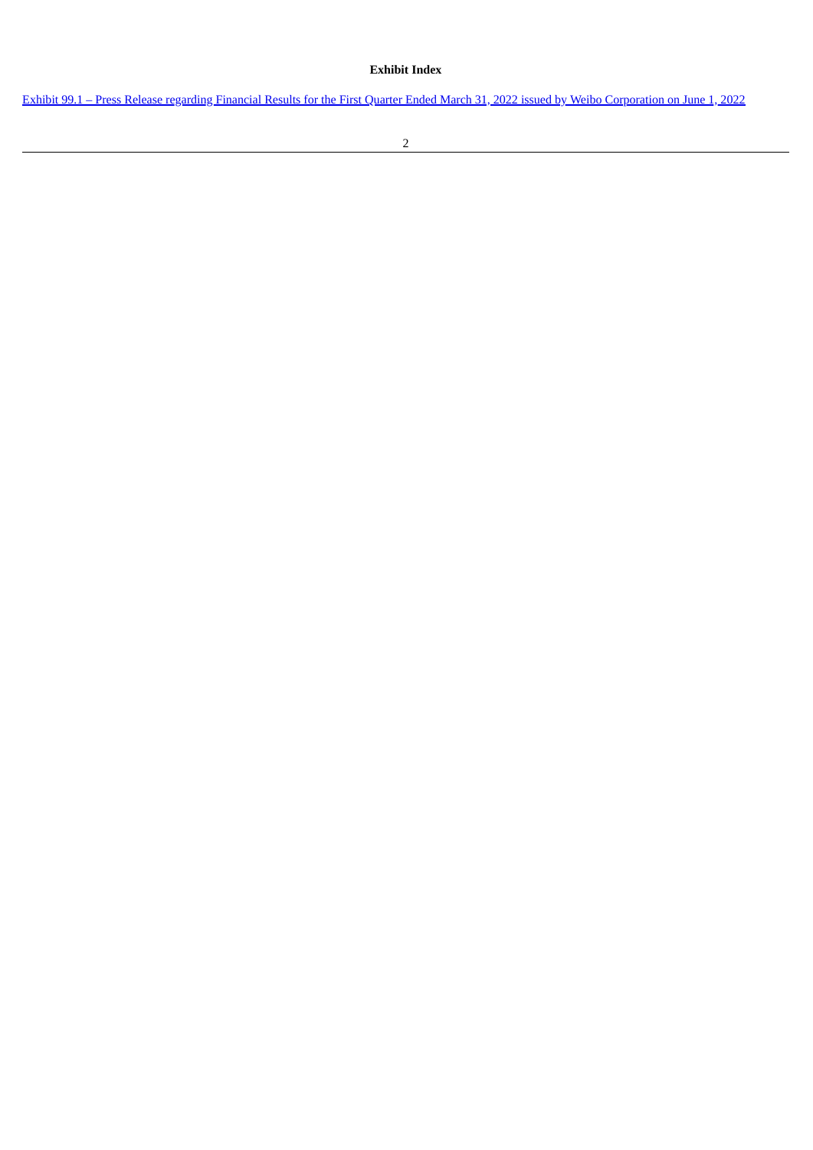# **Exhibit Index**

Exhibit 99.1 – Press Release regarding Financial Results for the First Quarter Ended March 31, 2022 issued by Weibo [Corporation](#page-3-0) on June 1, 2022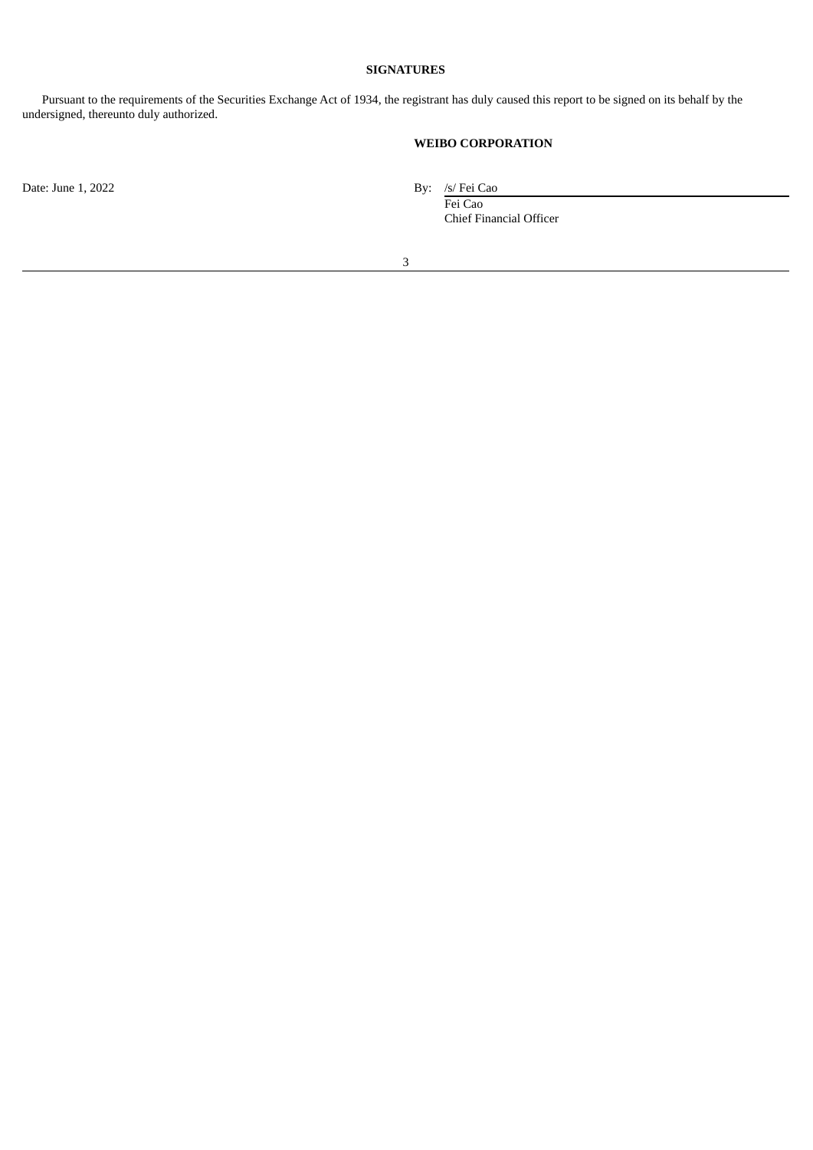# **SIGNATURES**

Pursuant to the requirements of the Securities Exchange Act of 1934, the registrant has duly caused this report to be signed on its behalf by the undersigned, thereunto duly authorized.

# **WEIBO CORPORATION**

Date: June 1, 2022 By: /s/ Fei Cao

Fei Cao Chief Financial Officer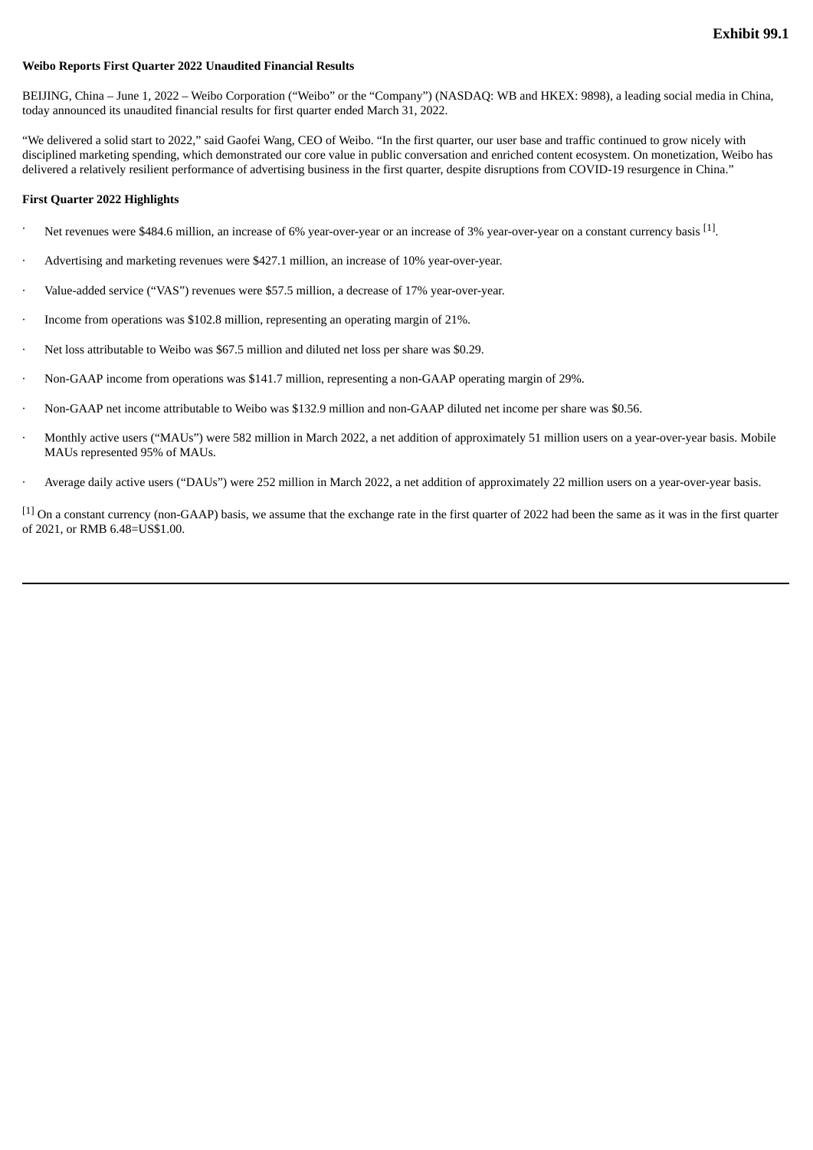# <span id="page-3-0"></span>**Weibo Reports First Quarter 2022 Unaudited Financial Results**

BEIJING, China – June 1, 2022 – Weibo Corporation ("Weibo" or the "Company") (NASDAQ: WB and HKEX: 9898), a leading social media in China, today announced its unaudited financial results for first quarter ended March 31, 2022.

"We delivered a solid start to 2022," said Gaofei Wang, CEO of Weibo. "In the first quarter, our user base and traffic continued to grow nicely with disciplined marketing spending, which demonstrated our core value in public conversation and enriched content ecosystem. On monetization, Weibo has delivered a relatively resilient performance of advertising business in the first quarter, despite disruptions from COVID-19 resurgence in China."

#### **First Quarter 2022 Highlights**

- $\cdot$  Net revenues were \$484.6 million, an increase of 6% year-over-year or an increase of 3% year-over-year on a constant currency basis [1].
- Advertising and marketing revenues were \$427.1 million, an increase of 10% year-over-year.
- Value-added service ("VAS") revenues were \$57.5 million, a decrease of 17% year-over-year.
- · Income from operations was \$102.8 million, representing an operating margin of 21%.
- · Net loss attributable to Weibo was \$67.5 million and diluted net loss per share was \$0.29.
- · Non-GAAP income from operations was \$141.7 million, representing a non-GAAP operating margin of 29%.
- · Non-GAAP net income attributable to Weibo was \$132.9 million and non-GAAP diluted net income per share was \$0.56.
- · Monthly active users ("MAUs") were 582 million in March 2022, a net addition of approximately 51 million users on a year-over-year basis. Mobile MAUs represented 95% of MAUs.
- · Average daily active users ("DAUs") were 252 million in March 2022, a net addition of approximately 22 million users on a year-over-year basis.

 $^{[1]}$  On a constant currency (non-GAAP) basis, we assume that the exchange rate in the first quarter of 2022 had been the same as it was in the first quarter of 2021, or RMB 6.48=US\$1.00.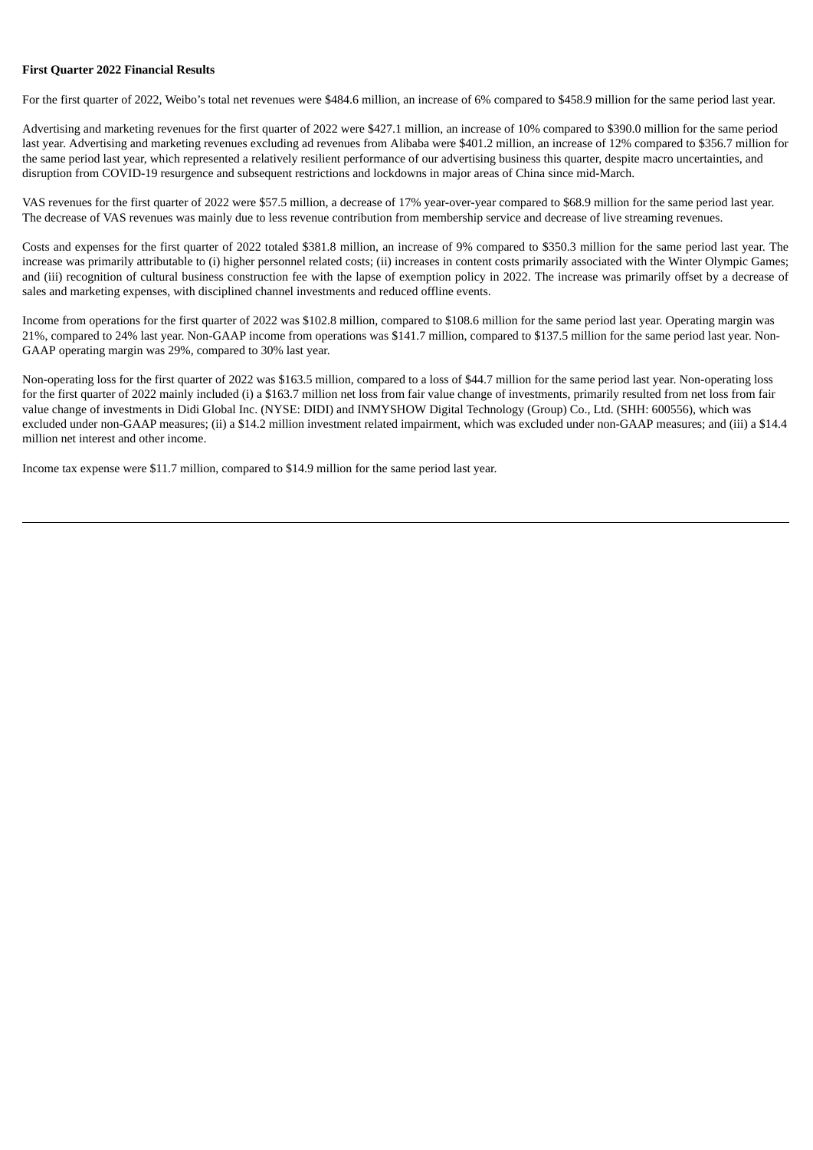#### **First Quarter 2022 Financial Results**

For the first quarter of 2022, Weibo's total net revenues were \$484.6 million, an increase of 6% compared to \$458.9 million for the same period last year.

Advertising and marketing revenues for the first quarter of 2022 were \$427.1 million, an increase of 10% compared to \$390.0 million for the same period last year. Advertising and marketing revenues excluding ad revenues from Alibaba were \$401.2 million, an increase of 12% compared to \$356.7 million for the same period last year, which represented a relatively resilient performance of our advertising business this quarter, despite macro uncertainties, and disruption from COVID-19 resurgence and subsequent restrictions and lockdowns in major areas of China since mid-March.

VAS revenues for the first quarter of 2022 were \$57.5 million, a decrease of 17% year-over-year compared to \$68.9 million for the same period last year. The decrease of VAS revenues was mainly due to less revenue contribution from membership service and decrease of live streaming revenues.

Costs and expenses for the first quarter of 2022 totaled \$381.8 million, an increase of 9% compared to \$350.3 million for the same period last year. The increase was primarily attributable to (i) higher personnel related costs; (ii) increases in content costs primarily associated with the Winter Olympic Games; and (iii) recognition of cultural business construction fee with the lapse of exemption policy in 2022. The increase was primarily offset by a decrease of sales and marketing expenses, with disciplined channel investments and reduced offline events.

Income from operations for the first quarter of 2022 was \$102.8 million, compared to \$108.6 million for the same period last year. Operating margin was 21%, compared to 24% last year. Non-GAAP income from operations was \$141.7 million, compared to \$137.5 million for the same period last year. Non-GAAP operating margin was 29%, compared to 30% last year.

Non-operating loss for the first quarter of 2022 was \$163.5 million, compared to a loss of \$44.7 million for the same period last year. Non-operating loss for the first quarter of 2022 mainly included (i) a \$163.7 million net loss from fair value change of investments, primarily resulted from net loss from fair value change of investments in Didi Global Inc. (NYSE: DIDI) and INMYSHOW Digital Technology (Group) Co., Ltd. (SHH: 600556), which was excluded under non-GAAP measures; (ii) a \$14.2 million investment related impairment, which was excluded under non-GAAP measures; and (iii) a \$14.4 million net interest and other income.

Income tax expense were \$11.7 million, compared to \$14.9 million for the same period last year.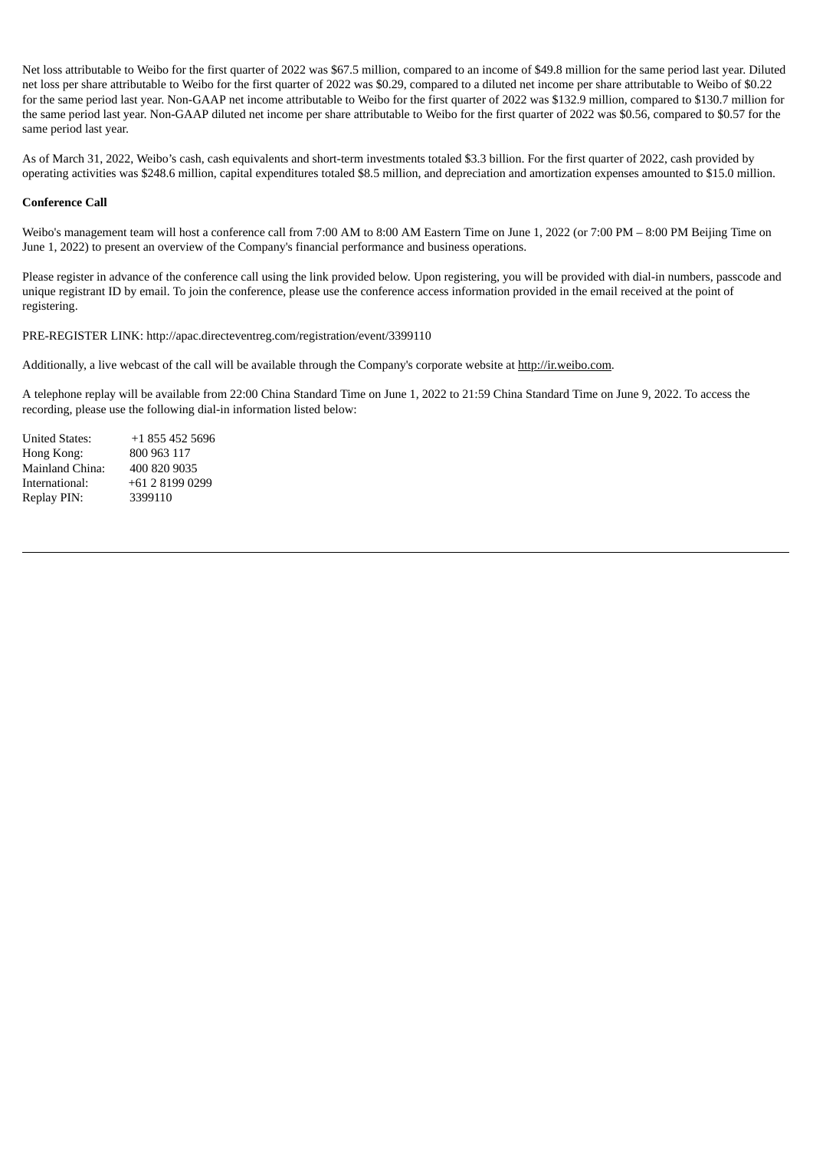Net loss attributable to Weibo for the first quarter of 2022 was \$67.5 million, compared to an income of \$49.8 million for the same period last year. Diluted net loss per share attributable to Weibo for the first quarter of 2022 was \$0.29, compared to a diluted net income per share attributable to Weibo of \$0.22 for the same period last year. Non-GAAP net income attributable to Weibo for the first quarter of 2022 was \$132.9 million, compared to \$130.7 million for the same period last year. Non-GAAP diluted net income per share attributable to Weibo for the first quarter of 2022 was \$0.56, compared to \$0.57 for the same period last year.

As of March 31, 2022, Weibo's cash, cash equivalents and short-term investments totaled \$3.3 billion. For the first quarter of 2022, cash provided by operating activities was \$248.6 million, capital expenditures totaled \$8.5 million, and depreciation and amortization expenses amounted to \$15.0 million.

#### **Conference Call**

Weibo's management team will host a conference call from 7:00 AM to 8:00 AM Eastern Time on June 1, 2022 (or 7:00 PM – 8:00 PM Beijing Time on June 1, 2022) to present an overview of the Company's financial performance and business operations.

Please register in advance of the conference call using the link provided below. Upon registering, you will be provided with dial-in numbers, passcode and unique registrant ID by email. To join the conference, please use the conference access information provided in the email received at the point of registering.

PRE-REGISTER LINK: http://apac.directeventreg.com/registration/event/3399110

Additionally, a live webcast of the call will be available through the Company's corporate website at http://ir.weibo.com.

A telephone replay will be available from 22:00 China Standard Time on June 1, 2022 to 21:59 China Standard Time on June 9, 2022. To access the recording, please use the following dial-in information listed below:

| <b>United States:</b> | +1 855 452 5696   |
|-----------------------|-------------------|
| Hong Kong:            | 800 963 117       |
| Mainland China:       | 400 820 9035      |
| International:        | $+61$ 2 8199 0299 |
| Replay PIN:           | 3399110           |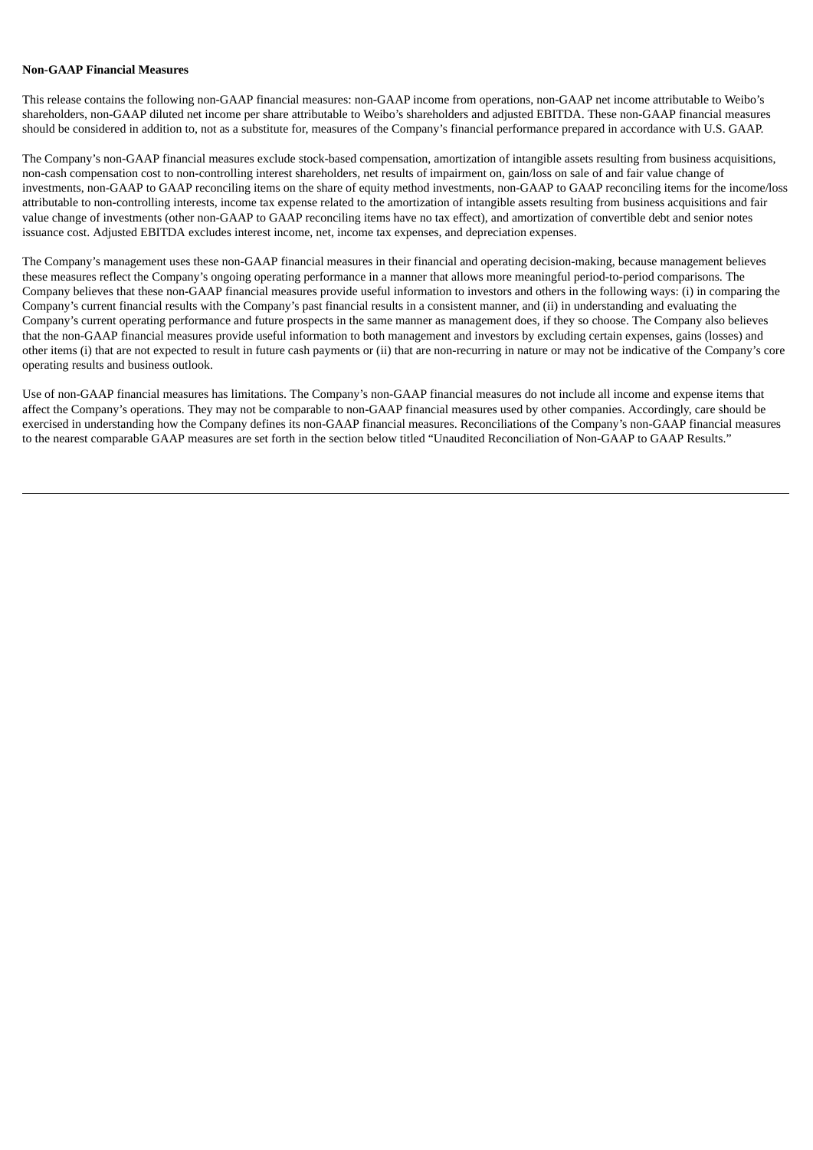#### **Non-GAAP Financial Measures**

This release contains the following non-GAAP financial measures: non-GAAP income from operations, non-GAAP net income attributable to Weibo's shareholders, non-GAAP diluted net income per share attributable to Weibo's shareholders and adjusted EBITDA. These non-GAAP financial measures should be considered in addition to, not as a substitute for, measures of the Company's financial performance prepared in accordance with U.S. GAAP.

The Company's non-GAAP financial measures exclude stock-based compensation, amortization of intangible assets resulting from business acquisitions, non-cash compensation cost to non-controlling interest shareholders, net results of impairment on, gain/loss on sale of and fair value change of investments, non-GAAP to GAAP reconciling items on the share of equity method investments, non-GAAP to GAAP reconciling items for the income/loss attributable to non-controlling interests, income tax expense related to the amortization of intangible assets resulting from business acquisitions and fair value change of investments (other non-GAAP to GAAP reconciling items have no tax effect), and amortization of convertible debt and senior notes issuance cost. Adjusted EBITDA excludes interest income, net, income tax expenses, and depreciation expenses.

The Company's management uses these non-GAAP financial measures in their financial and operating decision-making, because management believes these measures reflect the Company's ongoing operating performance in a manner that allows more meaningful period-to-period comparisons. The Company believes that these non-GAAP financial measures provide useful information to investors and others in the following ways: (i) in comparing the Company's current financial results with the Company's past financial results in a consistent manner, and (ii) in understanding and evaluating the Company's current operating performance and future prospects in the same manner as management does, if they so choose. The Company also believes that the non-GAAP financial measures provide useful information to both management and investors by excluding certain expenses, gains (losses) and other items (i) that are not expected to result in future cash payments or (ii) that are non-recurring in nature or may not be indicative of the Company's core operating results and business outlook.

Use of non-GAAP financial measures has limitations. The Company's non-GAAP financial measures do not include all income and expense items that affect the Company's operations. They may not be comparable to non-GAAP financial measures used by other companies. Accordingly, care should be exercised in understanding how the Company defines its non-GAAP financial measures. Reconciliations of the Company's non-GAAP financial measures to the nearest comparable GAAP measures are set forth in the section below titled "Unaudited Reconciliation of Non-GAAP to GAAP Results."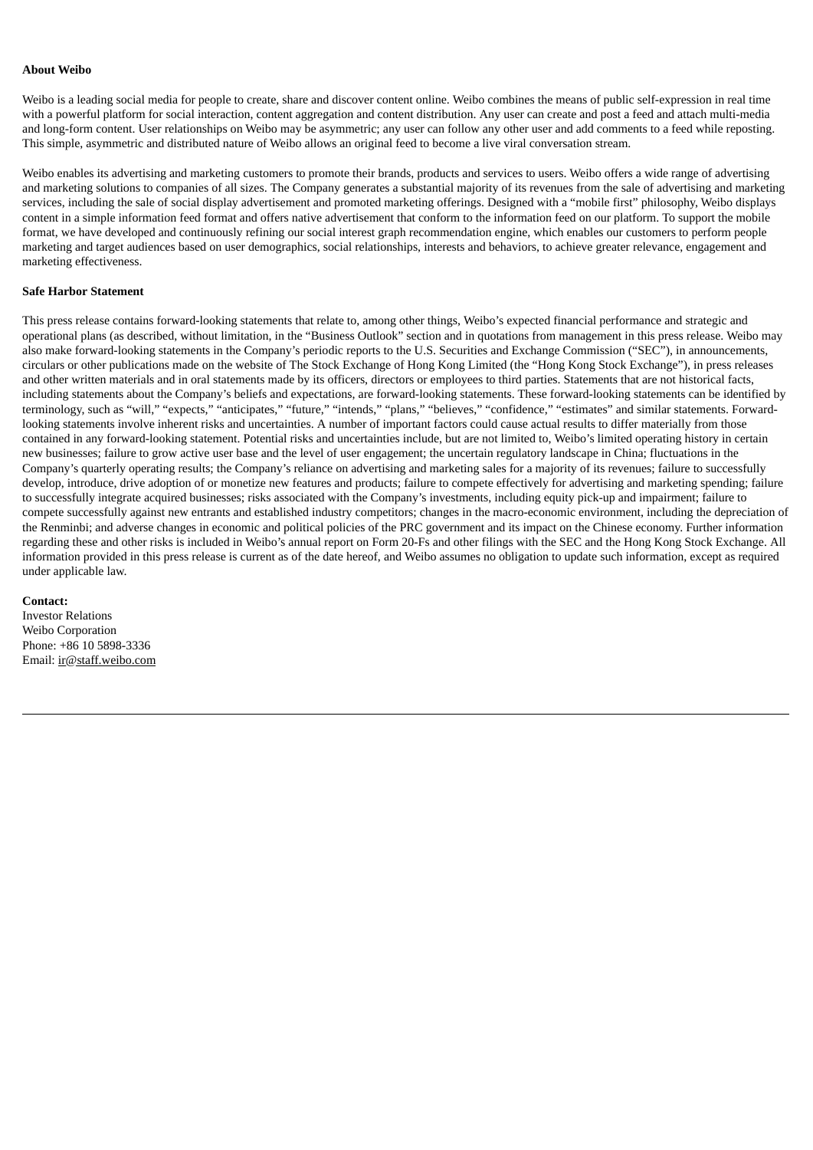#### **About Weibo**

Weibo is a leading social media for people to create, share and discover content online. Weibo combines the means of public self-expression in real time with a powerful platform for social interaction, content aggregation and content distribution. Any user can create and post a feed and attach multi-media and long-form content. User relationships on Weibo may be asymmetric; any user can follow any other user and add comments to a feed while reposting. This simple, asymmetric and distributed nature of Weibo allows an original feed to become a live viral conversation stream.

Weibo enables its advertising and marketing customers to promote their brands, products and services to users. Weibo offers a wide range of advertising and marketing solutions to companies of all sizes. The Company generates a substantial majority of its revenues from the sale of advertising and marketing services, including the sale of social display advertisement and promoted marketing offerings. Designed with a "mobile first" philosophy, Weibo displays content in a simple information feed format and offers native advertisement that conform to the information feed on our platform. To support the mobile format, we have developed and continuously refining our social interest graph recommendation engine, which enables our customers to perform people marketing and target audiences based on user demographics, social relationships, interests and behaviors, to achieve greater relevance, engagement and marketing effectiveness.

#### **Safe Harbor Statement**

This press release contains forward-looking statements that relate to, among other things, Weibo's expected financial performance and strategic and operational plans (as described, without limitation, in the "Business Outlook" section and in quotations from management in this press release. Weibo may also make forward-looking statements in the Company's periodic reports to the U.S. Securities and Exchange Commission ("SEC"), in announcements, circulars or other publications made on the website of The Stock Exchange of Hong Kong Limited (the "Hong Kong Stock Exchange"), in press releases and other written materials and in oral statements made by its officers, directors or employees to third parties. Statements that are not historical facts, including statements about the Company's beliefs and expectations, are forward-looking statements. These forward-looking statements can be identified by terminology, such as "will," "expects," "anticipates," "future," "intends," "plans," "believes," "confidence," "estimates" and similar statements. Forwardlooking statements involve inherent risks and uncertainties. A number of important factors could cause actual results to differ materially from those contained in any forward-looking statement. Potential risks and uncertainties include, but are not limited to, Weibo's limited operating history in certain new businesses; failure to grow active user base and the level of user engagement; the uncertain regulatory landscape in China; fluctuations in the Company's quarterly operating results; the Company's reliance on advertising and marketing sales for a majority of its revenues; failure to successfully develop, introduce, drive adoption of or monetize new features and products; failure to compete effectively for advertising and marketing spending; failure to successfully integrate acquired businesses; risks associated with the Company's investments, including equity pick-up and impairment; failure to compete successfully against new entrants and established industry competitors; changes in the macro-economic environment, including the depreciation of the Renminbi; and adverse changes in economic and political policies of the PRC government and its impact on the Chinese economy. Further information regarding these and other risks is included in Weibo's annual report on Form 20-Fs and other filings with the SEC and the Hong Kong Stock Exchange. All information provided in this press release is current as of the date hereof, and Weibo assumes no obligation to update such information, except as required under applicable law.

#### **Contact:**

Investor Relations Weibo Corporation Phone: +86 10 5898-3336 Email: ir@staff.weibo.com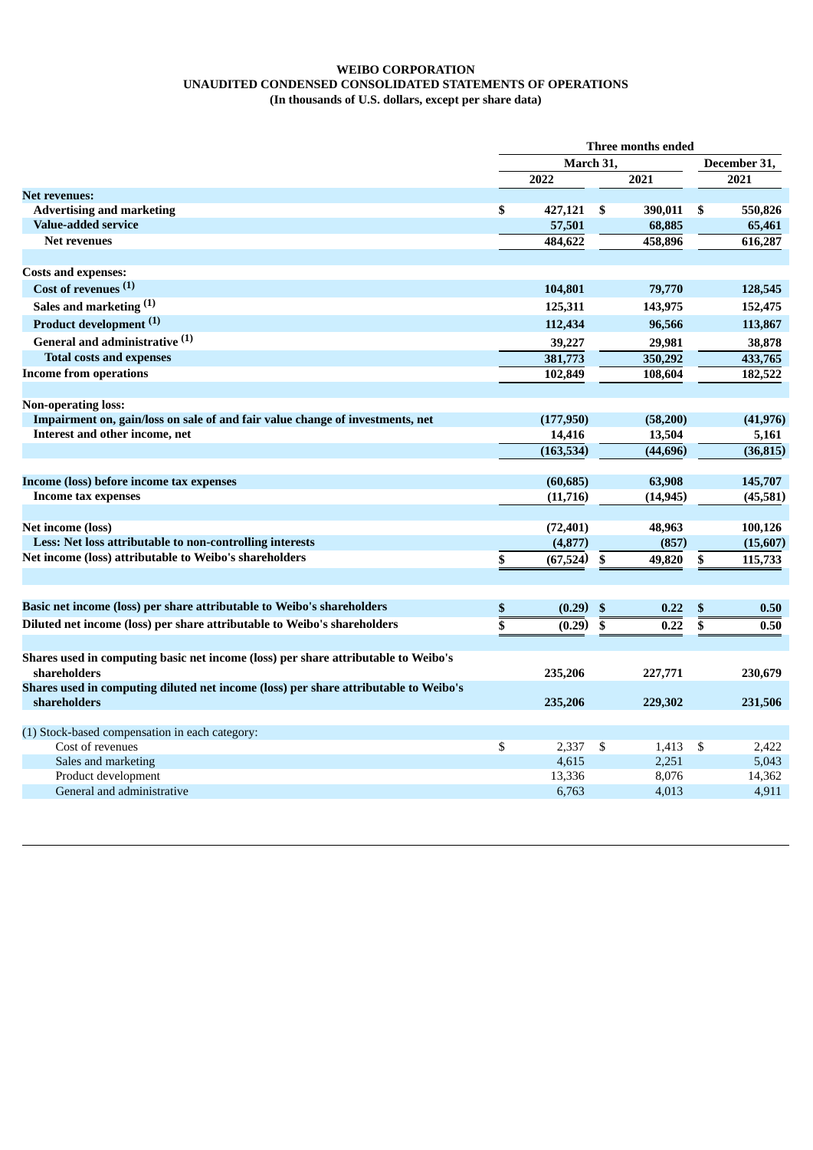### **WEIBO CORPORATION UNAUDITED CONDENSED CONSOLIDATED STATEMENTS OF OPERATIONS (In thousands of U.S. dollars, except per share data)**

|                                                                                      |           | Three months ended |     |           |              |           |
|--------------------------------------------------------------------------------------|-----------|--------------------|-----|-----------|--------------|-----------|
|                                                                                      | March 31, |                    |     |           | December 31, |           |
|                                                                                      |           | 2022               |     | 2021      |              | 2021      |
| <b>Net revenues:</b>                                                                 |           |                    |     |           |              |           |
| <b>Advertising and marketing</b>                                                     | \$        | 427,121            | -\$ | 390,011   | \$           | 550,826   |
| <b>Value-added service</b>                                                           |           | 57,501             |     | 68,885    |              | 65,461    |
| <b>Net revenues</b>                                                                  |           | 484,622            |     | 458,896   |              | 616,287   |
| <b>Costs and expenses:</b>                                                           |           |                    |     |           |              |           |
| Cost of revenues (1)                                                                 |           | 104,801            |     | 79,770    |              | 128,545   |
| Sales and marketing (1)                                                              |           | 125,311            |     | 143,975   |              | 152,475   |
| Product development <sup>(1)</sup>                                                   |           | 112,434            |     | 96,566    |              | 113,867   |
| General and administrative (1)                                                       |           | 39,227             |     | 29,981    |              | 38,878    |
| <b>Total costs and expenses</b>                                                      |           | 381,773            |     | 350,292   |              | 433,765   |
| <b>Income from operations</b>                                                        |           | 102,849            |     | 108,604   |              | 182,522   |
|                                                                                      |           |                    |     |           |              |           |
| <b>Non-operating loss:</b>                                                           |           |                    |     |           |              |           |
| Impairment on, gain/loss on sale of and fair value change of investments, net        |           | (177, 950)         |     | (58, 200) |              | (41, 976) |
| Interest and other income, net                                                       |           | 14,416             |     | 13,504    |              | 5,161     |
|                                                                                      |           | (163, 534)         |     | (44, 696) |              | (36, 815) |
|                                                                                      |           |                    |     |           |              |           |
| Income (loss) before income tax expenses                                             |           | (60, 685)          |     | 63,908    |              | 145,707   |
| Income tax expenses                                                                  |           | (11,716)           |     | (14, 945) |              | (45, 581) |
|                                                                                      |           |                    |     |           |              |           |
| Net income (loss)                                                                    |           | (72, 401)          |     | 48,963    |              | 100,126   |
| Less: Net loss attributable to non-controlling interests                             |           | (4, 877)           |     | (857)     |              | (15,607)  |
| Net income (loss) attributable to Weibo's shareholders                               | \$        | (67, 524)          | \$  | 49,820    | \$           | 115,733   |
|                                                                                      |           |                    |     |           |              |           |
| Basic net income (loss) per share attributable to Weibo's shareholders               | \$        | (0.29)             | \$  | 0.22      | \$           | 0.50      |
| Diluted net income (loss) per share attributable to Weibo's shareholders             |           | (0.29)             | \$  | 0.22      | \$           | 0.50      |
|                                                                                      |           |                    |     |           |              |           |
| Shares used in computing basic net income (loss) per share attributable to Weibo's   |           |                    |     |           |              |           |
| shareholders                                                                         |           | 235,206            |     | 227,771   |              | 230,679   |
| Shares used in computing diluted net income (loss) per share attributable to Weibo's |           |                    |     |           |              |           |
| shareholders                                                                         |           | 235,206            |     | 229,302   |              | 231,506   |
| (1) Stock-based compensation in each category:                                       |           |                    |     |           |              |           |
| Cost of revenues                                                                     | \$        | 2,337              | \$  | 1,413     | \$           | 2,422     |
| Sales and marketing                                                                  |           | 4.615              |     | 2,251     |              | 5,043     |
| Product development                                                                  |           | 13,336             |     | 8,076     |              | 14,362    |
| General and administrative                                                           |           | 6.763              |     | 4.013     |              | 4,911     |
|                                                                                      |           |                    |     |           |              |           |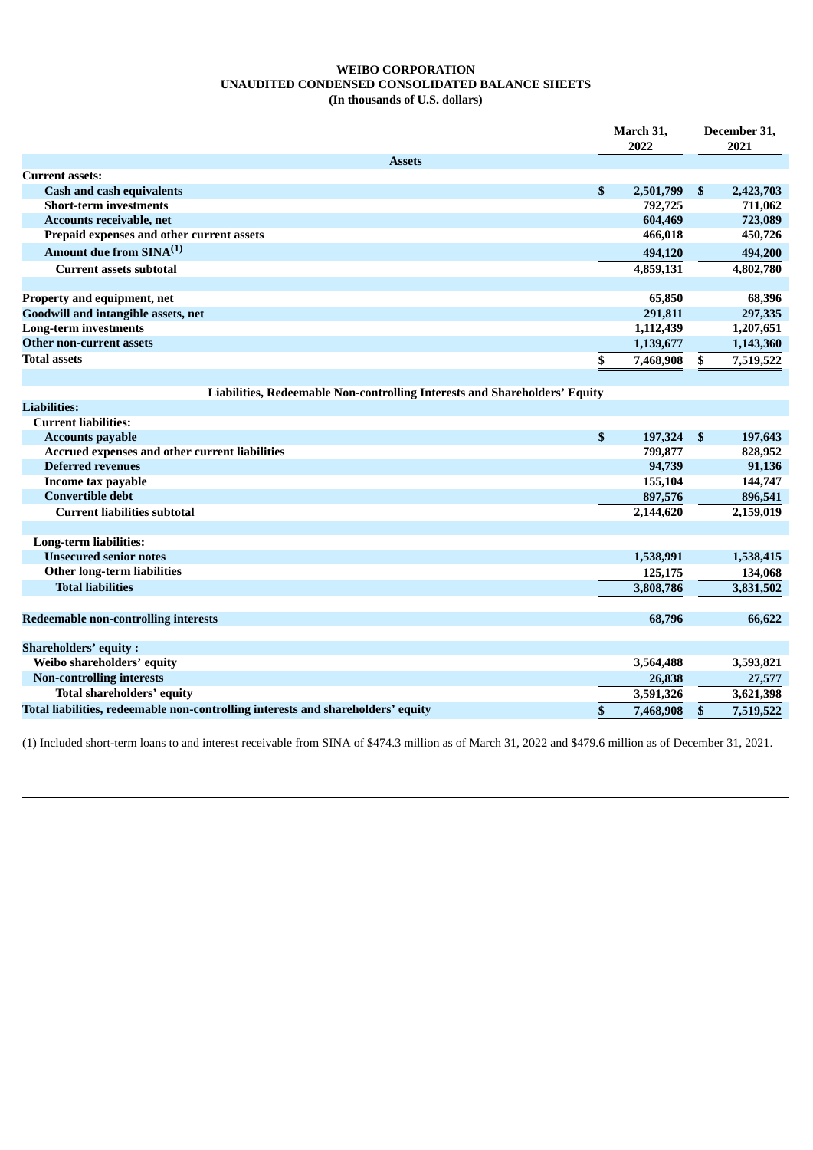### **WEIBO CORPORATION UNAUDITED CONDENSED CONSOLIDATED BALANCE SHEETS (In thousands of U.S. dollars)**

|                                                                                  |                           | March 31, |    | December 31, |  |
|----------------------------------------------------------------------------------|---------------------------|-----------|----|--------------|--|
|                                                                                  |                           | 2022      |    | 2021         |  |
| <b>Assets</b>                                                                    |                           |           |    |              |  |
| <b>Current assets:</b>                                                           |                           |           |    |              |  |
| <b>Cash and cash equivalents</b>                                                 | $\mathbf{s}$              | 2,501,799 | \$ | 2,423,703    |  |
| <b>Short-term investments</b>                                                    |                           | 792,725   |    | 711,062      |  |
| Accounts receivable, net                                                         |                           | 604,469   |    | 723,089      |  |
| Prepaid expenses and other current assets                                        |                           | 466,018   |    | 450,726      |  |
| Amount due from SINA <sup>(1)</sup>                                              |                           | 494,120   |    | 494,200      |  |
| <b>Current assets subtotal</b>                                                   |                           | 4,859,131 |    | 4,802,780    |  |
|                                                                                  |                           |           |    |              |  |
| Property and equipment, net                                                      |                           | 65,850    |    | 68,396       |  |
| Goodwill and intangible assets, net                                              |                           | 291,811   |    | 297,335      |  |
| <b>Long-term investments</b>                                                     |                           | 1,112,439 |    | 1,207,651    |  |
| Other non-current assets                                                         |                           | 1,139,677 |    | 1,143,360    |  |
| <b>Total assets</b>                                                              | \$                        | 7,468,908 | \$ | 7,519,522    |  |
|                                                                                  |                           |           |    |              |  |
| Liabilities, Redeemable Non-controlling Interests and Shareholders' Equity       |                           |           |    |              |  |
| <b>Liabilities:</b>                                                              |                           |           |    |              |  |
| <b>Current liabilities:</b>                                                      |                           |           |    |              |  |
| <b>Accounts payable</b>                                                          | $\boldsymbol{\mathsf{s}}$ | 197,324   | \$ | 197,643      |  |
| Accrued expenses and other current liabilities                                   |                           | 799,877   |    | 828,952      |  |
| <b>Deferred revenues</b>                                                         |                           | 94,739    |    | 91,136       |  |
| Income tax payable                                                               |                           | 155,104   |    | 144,747      |  |
| <b>Convertible debt</b>                                                          |                           | 897,576   |    | 896,541      |  |
| <b>Current liabilities subtotal</b>                                              |                           | 2,144,620 |    | 2,159,019    |  |
|                                                                                  |                           |           |    |              |  |
| <b>Long-term liabilities:</b><br><b>Unsecured senior notes</b>                   |                           | 1,538,991 |    | 1,538,415    |  |
| <b>Other long-term liabilities</b>                                               |                           | 125,175   |    |              |  |
| <b>Total liabilities</b>                                                         |                           |           |    | 134,068      |  |
|                                                                                  |                           | 3,808,786 |    | 3,831,502    |  |
| Redeemable non-controlling interests                                             |                           | 68,796    |    | 66,622       |  |
|                                                                                  |                           |           |    |              |  |
| <b>Shareholders' equity:</b>                                                     |                           |           |    |              |  |
| Weibo shareholders' equity                                                       |                           | 3,564,488 |    | 3,593,821    |  |
| <b>Non-controlling interests</b>                                                 |                           | 26,838    |    | 27,577       |  |
| Total shareholders' equity                                                       |                           | 3,591,326 |    | 3,621,398    |  |
| Total liabilities, redeemable non-controlling interests and shareholders' equity | \$                        | 7,468,908 | \$ | 7,519,522    |  |
|                                                                                  |                           |           |    |              |  |

(1) Included short-term loans to and interest receivable from SINA of \$474.3 million as of March 31, 2022 and \$479.6 million as of December 31, 2021.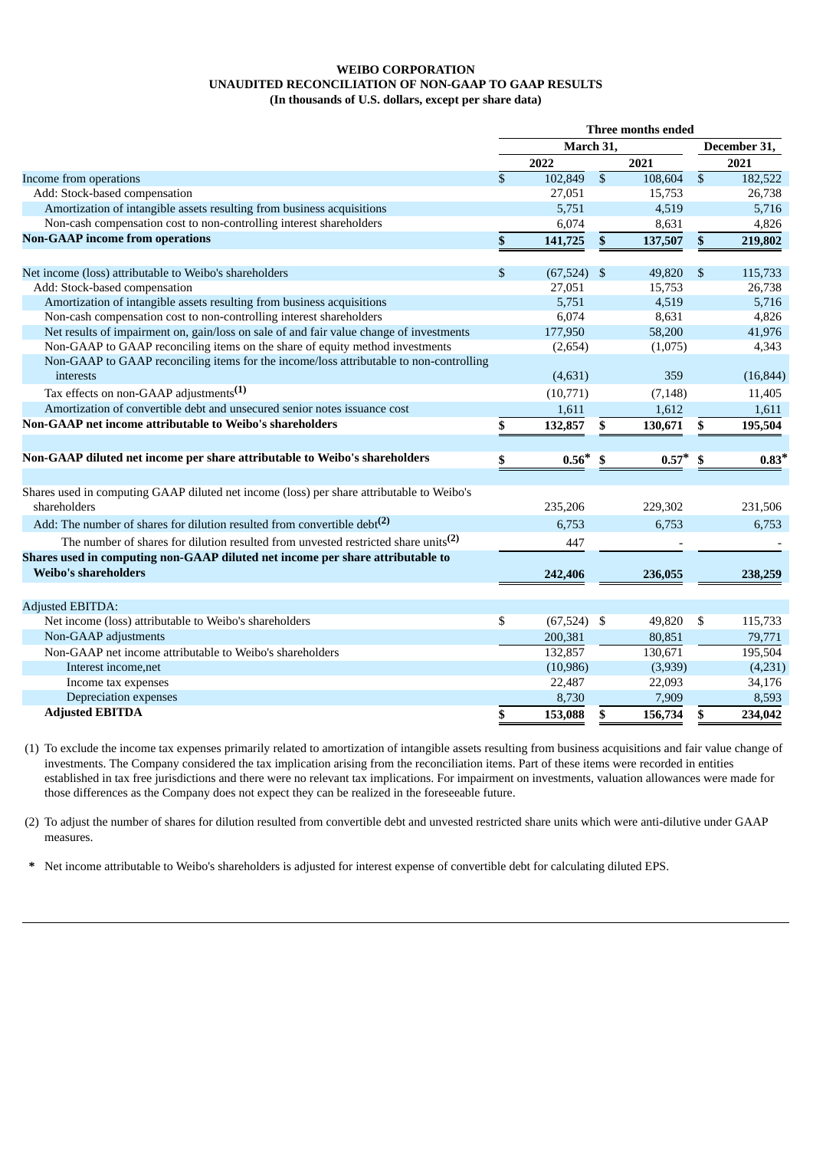#### **WEIBO CORPORATION UNAUDITED RECONCILIATION OF NON-GAAP TO GAAP RESULTS (In thousands of U.S. dollars, except per share data)**

|                                                                                                | Three months ended |               |                 |              |                 |           |
|------------------------------------------------------------------------------------------------|--------------------|---------------|-----------------|--------------|-----------------|-----------|
|                                                                                                | March 31,          |               |                 | December 31, |                 |           |
|                                                                                                |                    | 2022          |                 | 2021         |                 | 2021      |
| Income from operations                                                                         | $\mathbb{S}$       | 102,849       | $\overline{\$}$ | 108,604      | $\overline{\$}$ | 182,522   |
| Add: Stock-based compensation                                                                  |                    | 27,051        |                 | 15,753       |                 | 26,738    |
| Amortization of intangible assets resulting from business acquisitions                         |                    | 5,751         |                 | 4,519        |                 | 5,716     |
| Non-cash compensation cost to non-controlling interest shareholders                            |                    | 6,074         |                 | 8,631        |                 | 4,826     |
| <b>Non-GAAP</b> income from operations                                                         | \$                 | 141,725       | \$              | 137,507      | \$              | 219,802   |
| Net income (loss) attributable to Weibo's shareholders                                         | \$                 | $(67,524)$ \$ |                 | 49,820       | \$              | 115,733   |
| Add: Stock-based compensation                                                                  |                    | 27,051        |                 | 15,753       |                 | 26,738    |
| Amortization of intangible assets resulting from business acquisitions                         |                    | 5,751         |                 | 4,519        |                 | 5,716     |
| Non-cash compensation cost to non-controlling interest shareholders                            |                    | 6,074         |                 | 8,631        |                 | 4,826     |
| Net results of impairment on, gain/loss on sale of and fair value change of investments        |                    | 177,950       |                 | 58,200       |                 | 41,976    |
| Non-GAAP to GAAP reconciling items on the share of equity method investments                   |                    | (2,654)       |                 | (1,075)      |                 | 4,343     |
| Non-GAAP to GAAP reconciling items for the income/loss attributable to non-controlling         |                    |               |                 |              |                 |           |
| interests                                                                                      |                    | (4,631)       |                 | 359          |                 | (16, 844) |
| Tax effects on non-GAAP adjustments <sup>(1)</sup>                                             |                    | (10,771)      |                 | (7, 148)     |                 | 11,405    |
| Amortization of convertible debt and unsecured senior notes issuance cost                      |                    | 1,611         |                 | 1,612        |                 | 1,611     |
| Non-GAAP net income attributable to Weibo's shareholders                                       | \$                 | 132,857       | \$              | 130,671      | \$              | 195,504   |
|                                                                                                |                    |               |                 |              |                 |           |
| Non-GAAP diluted net income per share attributable to Weibo's shareholders                     | \$                 | $0.56*$       | \$              | $0.57*$      | \$              | $0.83*$   |
|                                                                                                |                    |               |                 |              |                 |           |
| Shares used in computing GAAP diluted net income (loss) per share attributable to Weibo's      |                    |               |                 |              |                 |           |
| shareholders                                                                                   |                    | 235,206       |                 | 229,302      |                 | 231,506   |
| Add: The number of shares for dilution resulted from convertible debt <sup>(2)</sup>           |                    | 6,753         |                 | 6,753        |                 | 6,753     |
| The number of shares for dilution resulted from unvested restricted share units <sup>(2)</sup> |                    | 447           |                 |              |                 |           |
| Shares used in computing non-GAAP diluted net income per share attributable to                 |                    |               |                 |              |                 |           |
| <b>Weibo's shareholders</b>                                                                    |                    | 242,406       |                 | 236,055      |                 | 238,259   |
|                                                                                                |                    |               |                 |              |                 |           |
| <b>Adjusted EBITDA:</b>                                                                        |                    |               |                 |              |                 |           |
| Net income (loss) attributable to Weibo's shareholders                                         | \$                 | $(67,524)$ \$ |                 | 49,820       | \$              | 115,733   |
| Non-GAAP adjustments                                                                           |                    | 200,381       |                 | 80,851       |                 | 79,771    |
| Non-GAAP net income attributable to Weibo's shareholders                                       |                    | 132,857       |                 | 130,671      |                 | 195,504   |
| Interest income, net                                                                           |                    | (10, 986)     |                 | (3,939)      |                 | (4,231)   |
| Income tax expenses                                                                            |                    | 22,487        |                 | 22,093       |                 | 34,176    |
| <b>Depreciation expenses</b>                                                                   |                    | 8,730         |                 | 7,909        |                 | 8,593     |
| <b>Adjusted EBITDA</b>                                                                         | \$                 | 153,088       | \$              | 156,734      | \$              | 234,042   |

(1) To exclude the income tax expenses primarily related to amortization of intangible assets resulting from business acquisitions and fair value change of investments. The Company considered the tax implication arising from the reconciliation items. Part of these items were recorded in entities established in tax free jurisdictions and there were no relevant tax implications. For impairment on investments, valuation allowances were made for those differences as the Company does not expect they can be realized in the foreseeable future.

(2) To adjust the number of shares for dilution resulted from convertible debt and unvested restricted share units which were anti-dilutive under GAAP measures.

**\*** Net income attributable to Weibo's shareholders is adjusted for interest expense of convertible debt for calculating diluted EPS.